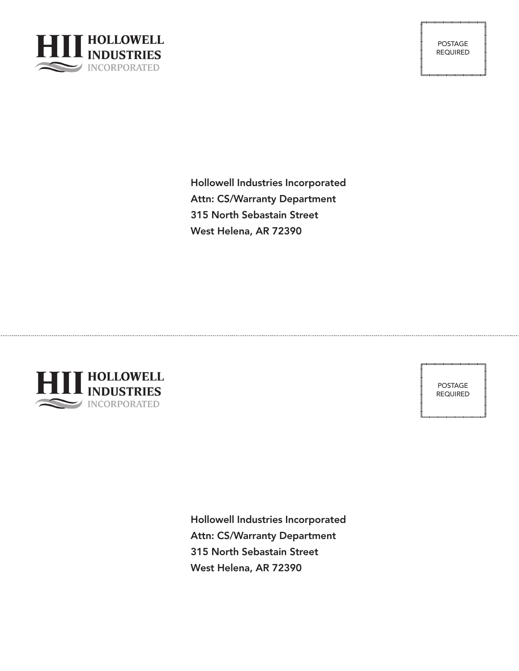

POSTAGE REQUIRED

Hollowell Industries Incorporated Attn: CS/Warranty Department 315 North Sebastain Street West Helena, AR 72390